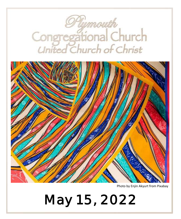

Photo by Enjin Akyurt from Pixabay

**May 15, 2022**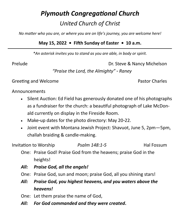# *Plymouth Congregational Church United Church of Christ*

*No matter who you are, or where you are on life's journey, you are welcome here!*

# **May 15, 2022 • Fifth Sunday of Easter • 10 a.m.**

*\*An asterisk invites you to stand as you are able, in body or spirit.*

Prelude **Dr. Steve & Nancy Michelson** 

*"Praise the Lord, the Almighty" - Raney*

Greeting and Welcome **Pastor Charles Pastor Charles** 

Announcements

- Silent Auction: Ed Field has generously donated one of his photographs as a fundraiser for the church: a beautiful photograph of Lake McDonald currently on display in the Fireside Room.
- Make-up dates for the photo directory: May 20-22.
- Joint event with Montana Jewish Project: Shavuot, June 5, 2pm—5pm, challah braiding & candle-making.

Invitation to Worship *Psalm 148:1-5* Hal Fossum

- One: Praise God! Praise God from the heavens; praise God in the heights!
- *All: Praise God, all the angels!*
- One: Praise God, sun and moon; praise God, all you shining stars!
- *All: Praise God, you highest heavens, and you waters above the heavens!*
- One: Let them praise the name of God,
- *All: For God commanded and they were created***.**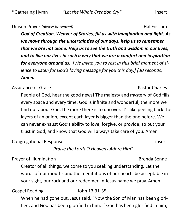#### Unison Prayer *(please be seated)* Hal Fossum Hal Fossum

*God of Creation, Weaver of Stories, fill us with imagination and light. As we move through the uncertainties of our days, help us to remember that we are not alone. Help us to see the truth and wisdom in our lives, and to live our lives in such a way that we are a comfort and inspiration for everyone around us. [We invite you to rest in this brief moment of silence to listen for God's loving message for you this day.] (30 seconds) Amen.*

#### Assurance of Grace **Pastor Charles** Assurance of Grace

People of God, hear the good news! The majesty and mystery of God fills every space and every time. God is infinite and wonderful; the more we find out about God, the more there is to uncover. It's like peeling back the layers of an onion, except each layer is bigger than the one before. We can never exhaust God's ability to love, forgive, or provide, so put your trust in God, and know that God will always take care of you. Amen.

Congregational Response insert

*"Praise the Lord! O Heavens Adore Him"*

### Prayer of Illumination **Brenda Senne**

Creator of all things, we come to you seeking understanding. Let the words of our mouths and the meditations of our hearts be acceptable in your sight, our rock and our redeemer. In Jesus name we pray. Amen.

Gospel Reading John 13:31-35

When he had gone out, Jesus said, "Now the Son of Man has been glorified, and God has been glorified in him. If God has been glorified in him,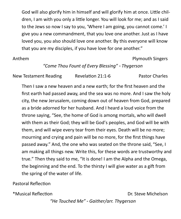God will also glorify him in himself and will glorify him at once. Little children, I am with you only a little longer. You will look for me; and as I said to the Jews so now I say to you, 'Where I am going, you cannot come.' I give you a new commandment, that you love one another. Just as I have loved you, you also should love one another. By this everyone will know that you are my disciples, if you have love for one another."

#### Anthem **Plymouth Singers**

# *"Come Thou Fount of Every Blessing" - Thygerson*

New Testament Reading Revelation 21:1-6 Pastor Charles

Then I saw a new heaven and a new earth; for the first heaven and the first earth had passed away, and the sea was no more. And I saw the holy city, the new Jerusalem, coming down out of heaven from God, prepared as a bride adorned for her husband. And I heard a loud voice from the throne saying, "See, the home of God is among mortals, who will dwell with them as their God; they will be God's peoples, and God will be with them, and will wipe every tear from their eyes. Death will be no more; mourning and crying and pain will be no more, for the first things have passed away." And, the one who was seated on the throne said, "See, I am making all things new. Write this, for these words are trustworthy and true." Then they said to me, "It is done! I am the Alpha and the Omega, the beginning and the end. To the thirsty I will give water as a gift from the spring of the water of life.

### Pastoral Reflection

\*Musical Reflection **Dr.** Steve Michelson

*"He Touched Me" - Gaither/arr. Thygerson*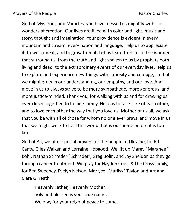God of Mysteries and Miracles, you have blessed us mightily with the wonders of creation. Our lives are filled with color and light, music and story, thought and imagination. Your providence is evident in every mountain and stream, every nation and language. Help us to appreciate it, to welcome it, and to grow from it. Let us learn from all of the wonders that surround us, from the truth and light spoken to us by prophets both living and dead, to the extraordinary events of our everyday lives. Help us to explore and experience new things with curiosity and courage, so that we might grow in our understanding, our empathy, and our love. And move in us to always strive to be more sympathetic, more generous, and more justice-minded. Thank you, for walking with us and for drawing us ever closer together, to be one family. Help us to take care of each other, and to love each other the way that you love us. Mother of us all, we ask that you be with all of those for whom no one ever prays, and move in us, that we might work to heal this world that is our home before it is too late.

God of All, we offer special prayers for the people of Ukraine, for Ed Canty, Giles Walker, and Lorraine Hopgood. We lift up Margy "Marghee" Kohl, Nathan Schreder "Schrader", Greg Bolin, and Jay Sheldon as they go through cancer treatment. We pray for Hayden Cross & the Cross family, for Ben Sweeney, Evelyn Nelson, Marlyce "Marliss" Taylor, and Art and Clara Gilreath.

Heavenly Father, Heavenly Mother, holy and blessed is your true name. We pray for your reign of peace to come,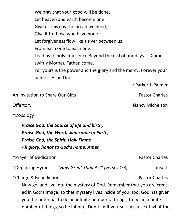We pray that your good will be done, Let heaven and earth become one. Give us this day the bread we need, Give it to those who have none. Let forgiveness flow like a river between us, From each one to each one. Lead us to holy innocence Beyond the evil of our days — Come swiftly Mother, Father, come. For yours is the power and the glory and the mercy: Forever your name is All in One.

~ Parker J. Palmer

Offertory **Nancy Michelson** 

An Invitation to Share Our Gifts **Pastor Charles** Pastor Charles

\*Doxology

*Praise God, the Source of life and birth, Praise God, the Word, who came to Earth, Praise God, the Spirit, Holy Flame All glory, honor to God's name. Amen*

\*Prayer of Dedication **Pastor Charles** \* Prayer of Dedication

\*Departing Hymn *"How Great Thou Art" (verses 1-3)* insert

\*Charge & Benediction **Pastor Charles Pastor Charles** 

Now go, and live into the mystery of God. Remember that you are created in God's image, so that mystery lives inside of you, too. God has given you the potential to do an infinite number of things, to be an infinite number of things, so be infinite. Don't limit yourself because of what the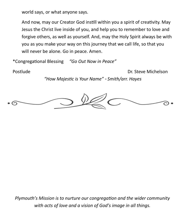world says, or what anyone says.

And now, may our Creator God instill within you a spirit of creativity. May Jesus the Christ live inside of you, and help you to remember to love and forgive others, as well as yourself. And, may the Holy Spirit always be with you as you make your way on this journey that we call life, so that you will never be alone. Go in peace. Amen.

\*Congregational Blessing *"Go Out Now in Peace"*

Postlude **Dr. Steve Michelson** 

*"How Majestic is Your Name" - Smith/arr. Hayes*



*Plymouth's Mission is to nurture our congregation and the wider community with acts of love and a vision of God's image in all things.*